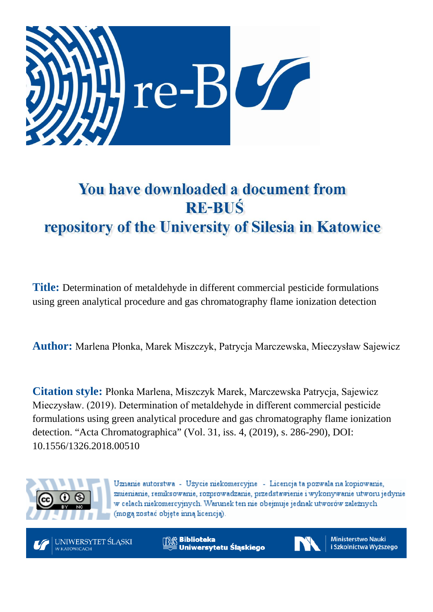

# You have downloaded a document from **RE-BUŚ** repository of the University of Silesia in Katowice

**Title:** Determination of metaldehyde in different commercial pesticide formulations using green analytical procedure and gas chromatography flame ionization detection

**Author:** Marlena Płonka, Marek Miszczyk, Patrycja Marczewska, Mieczysław Sajewicz

**Citation style:** Płonka Marlena, Miszczyk Marek, Marczewska Patrycja, Sajewicz Mieczysław. (2019). Determination of metaldehyde in different commercial pesticide formulations using green analytical procedure and gas chromatography flame ionization detection. "Acta Chromatographica" (Vol. 31, iss. 4, (2019), s. 286-290), DOI: 10.1556/1326.2018.00510



Uznanie autorstwa - Użycie niekomercyjne - Licencja ta pozwala na kopiowanie, zmienianie, remiksowanie, rozprowadzanie, przedstawienie i wykonywanie utworu jedynie w celach niekomercyjnych. Warunek ten nie obejmuje jednak utworów zależnych (moga zostać objete inna licencia).



**Biblioteka** Uniwersytetu Śląskiego



**Ministerstwo Nauki** i Szkolnictwa Wyższego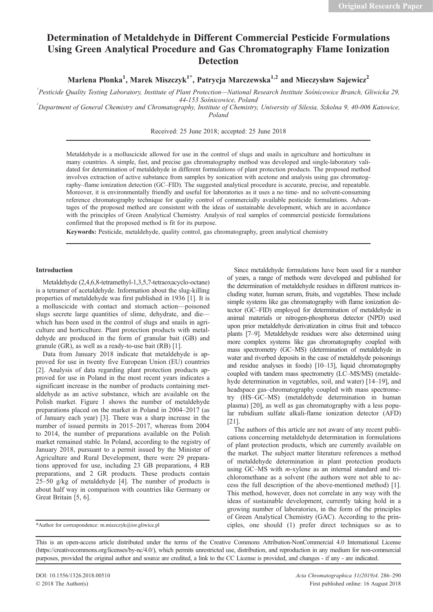## Determination of Metaldehyde in Different Commercial Pesticide Formulations Using Green Analytical Procedure and Gas Chromatography Flame Ionization Detection

Marlena Płonka<sup>1</sup>, Marek Miszczyk<sup>1\*</sup>, Patrycja Marczewska<sup>1,2</sup> and Mieczysław Sajewicz<sup>2</sup>

<sup>1</sup> Pesticide Quality Testing Laboratory, Institute of Plant Protection—National Research Institute Sośnicowice Branch, Gliwicka 29, 44-153 Sośnicowice, Poland<br>Department of General Chemistry and Chromatography, Institute of Chemistry, University of Silesia, Szkolna 9, 40-006 Katowice, <sup>2</sup>

Poland

Received: 25 June 2018; accepted: 25 June 2018

Metaldehyde is a molluscicide allowed for use in the control of slugs and snails in agriculture and horticulture in many countries. A simple, fast, and precise gas chromatography method was developed and single-laboratory validated for determination of metaldehyde in different formulations of plant protection products. The proposed method involves extraction of active substance from samples by sonication with acetone and analysis using gas chromatography–flame ionization detection (GC–FID). The suggested analytical procedure is accurate, precise, and repeatable. Moreover, it is environmentally friendly and useful for laboratories as it uses a no time- and no solvent-consuming reference chromatography technique for quality control of commercially available pesticide formulations. Advantages of the proposed method are consistent with the ideas of sustainable development, which are in accordance with the principles of Green Analytical Chemistry. Analysis of real samples of commercial pesticide formulations confirmed that the proposed method is fit for its purpose.

Keywords: Pesticide, metaldehyde, quality control, gas chromatography, green analytical chemistry

#### Introduction

Metaldehyde (2,4,6,8-tetramethyl-1,3,5,7-tetraoxacyclo-octane) is a tetramer of acetaldehyde. Information about the slug-killing properties of metaldehyde was first published in 1936 [1]. It is a molluscicide with contact and stomach action—poisoned slugs secrete large quantities of slime, dehydrate, and die which has been used in the control of slugs and snails in agriculture and horticulture. Plant protection products with metaldehyde are produced in the form of granular bait (GB) and granule (GR), as well as a ready-to-use bait (RB) [1].

Data from January 2018 indicate that metaldehyde is approved for use in twenty five European Union (EU) countries [2]. Analysis of data regarding plant protection products approved for use in Poland in the most recent years indicates a significant increase in the number of products containing metaldehyde as an active substance, which are available on the Polish market. Figure 1 shows the number of metaldehyde preparations placed on the market in Poland in 2004–2017 (as of January each year) [3]. There was a sharp increase in the number of issued permits in 2015–2017, whereas from 2004 to 2014, the number of preparations available on the Polish market remained stable. In Poland, according to the registry of January 2018, pursuant to a permit issued by the Minister of Agriculture and Rural Development, there were 29 preparations approved for use, including 23 GB preparations, 4 RB preparations, and 2 GR products. These products contain  $25-50$  g/kg of metaldehyde [4]. The number of products is about half way in comparison with countries like Germany or Great Britain [5, 6].

Since metaldehyde formulations have been used for a number of years, a range of methods were developed and published for the determination of metaldehyde residues in different matrices including water, human serum, fruits, and vegetables. These include simple systems like gas chromatography with flame ionization detector (GC–FID) employed for determination of metaldehyde in animal materials or nitrogen-phosphorus detector (NPD) used upon prior metaldehyde derivatization in citrus fruit and tobacco plants [7–9]. Metaldehyde residues were also determined using more complex systems like gas chromatography coupled with mass spectrometry (GC–MS) (determination of metaldehyde in water and riverbed deposits in the case of metaldehyde poisonings and residue analyses in foods) [10–13], liquid chromatography coupled with tandem mass spectrometry (LC–MS/MS) (metaldehyde determination in vegetables, soil, and water) [14–19], and headspace gas–chromatography coupled with mass spectrometry (HS–GC–MS) (metaldehyde determination in human plasma) [20], as well as gas chromatography with a less popular rubidium sulfate alkali-flame ionization detector (AFD) [21].

The authors of this article are not aware of any recent publications concerning metaldehyde determination in formulations of plant protection products, which are currently available on the market. The subject matter literature references a method of metaldehyde determination in plant protection products using GC–MS with m-xylene as an internal standard and trichloromethane as a solvent (the authors were not able to access the full description of the above-mentioned method) [1]. This method, however, does not correlate in any way with the ideas of sustainable development, currently taking hold in a growing number of laboratories, in the form of the principles of Green Analytical Chemistry (GAC). According to the prin- \*Author for correspondence: m.miszczyk@ior.gliwice.pl ciples, one should (1) prefer direct techniques so as to

This is an open-access article distributed under the terms of the Creative Commons Attribution-NonCommercial 4.0 International License (https://creativecommons.org/licenses/by-nc/4.0/), which permits unrestricted use, distribution, and reproduction in any medium for non-commercial purposes, provided the original author and source are credited, a link to the CC License is provided, and changes - if any - are indicated.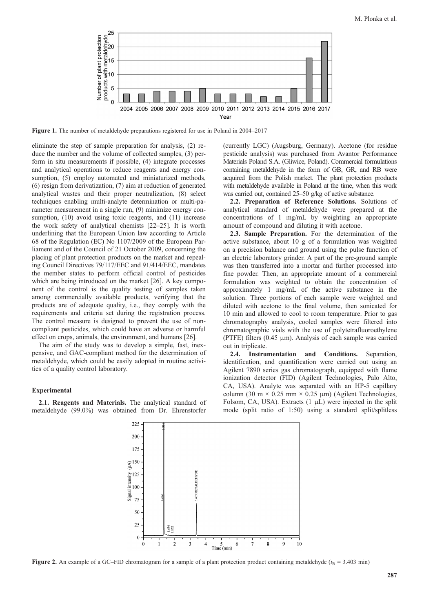

Figure 1. The number of metaldehyde preparations registered for use in Poland in 2004–2017

eliminate the step of sample preparation for analysis, (2) reduce the number and the volume of collected samples, (3) perform in situ measurements if possible, (4) integrate processes and analytical operations to reduce reagents and energy consumption, (5) employ automated and miniaturized methods, (6) resign from derivatization, (7) aim at reduction of generated analytical wastes and their proper neutralization, (8) select techniques enabling multi-analyte determination or multi-parameter measurement in a single run, (9) minimize energy consumption, (10) avoid using toxic reagents, and (11) increase the work safety of analytical chemists [22–25]. It is worth underlining that the European Union law according to Article 68 of the Regulation (EC) No 1107/2009 of the European Parliament and of the Council of 21 October 2009, concerning the placing of plant protection products on the market and repealing Council Directives 79/117/EEC and 91/414/EEC, mandates the member states to perform official control of pesticides which are being introduced on the market [26]. A key component of the control is the quality testing of samples taken among commercially available products, verifying that the products are of adequate quality, i.e., they comply with the requirements and criteria set during the registration process. The control measure is designed to prevent the use of noncompliant pesticides, which could have an adverse or harmful effect on crops, animals, the environment, and humans [26].

The aim of the study was to develop a simple, fast, inexpensive, and GAC-compliant method for the determination of metaldehyde, which could be easily adopted in routine activities of a quality control laboratory.

### Experimental

2.1. Reagents and Materials. The analytical standard of metaldehyde (99.0%) was obtained from Dr. Ehrenstorfer

(currently LGC) (Augsburg, Germany). Acetone (for residue pesticide analysis) was purchased from Avantor Performance Materials Poland S.A. (Gliwice, Poland). Commercial formulations containing metaldehyde in the form of GB, GR, and RB were acquired from the Polish market. The plant protection products with metaldehyde available in Poland at the time, when this work was carried out, contained 25–50 g/kg of active substance.

2.2. Preparation of Reference Solutions. Solutions of analytical standard of metaldehyde were prepared at the concentrations of 1 mg/mL by weighting an appropriate amount of compound and diluting it with acetone.

2.3. Sample Preparation. For the determination of the active substance, about 10 g of a formulation was weighted on a precision balance and ground using the pulse function of an electric laboratory grinder. A part of the pre-ground sample was then transferred into a mortar and further processed into fine powder. Then, an appropriate amount of a commercial formulation was weighted to obtain the concentration of approximately 1 mg/mL of the active substance in the solution. Three portions of each sample were weighted and diluted with acetone to the final volume, then sonicated for 10 min and allowed to cool to room temperature. Prior to gas chromatography analysis, cooled samples were filtered into chromatographic vials with the use of polytetrafluoroethylene (PTFE) filters (0.45 μm). Analysis of each sample was carried out in triplicate.

2.4. Instrumentation and Conditions. Separation, identification, and quantification were carried out using an Agilent 7890 series gas chromatograph, equipped with flame ionization detector (FID) (Agilent Technologies, Palo Alto, CA, USA). Analyte was separated with an HP-5 capillary column (30 m  $\times$  0.25 mm  $\times$  0.25 µm) (Agilent Technologies, Folsom, CA, USA). Extracts (1 μL) were injected in the split mode (split ratio of 1:50) using a standard split/splitless



Figure 2. An example of a GC–FID chromatogram for a sample of a plant protection product containing metaldehyde ( $t<sub>R</sub>$  = 3.403 min)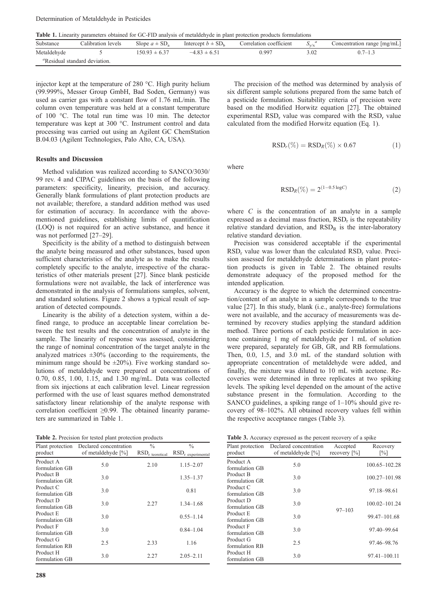Table 1. Linearity parameters obtained for GC-FID analysis of metaldehyde in plant protection products formulations

| Substance   | Calibration levels                               | Slope $a \pm SD$ . | Intercept $b \pm SD_b$ | Correlation coefficient | $S_{\rm v/s}$ | Concentration range [mg/mL] |
|-------------|--------------------------------------------------|--------------------|------------------------|-------------------------|---------------|-----------------------------|
| Metaldehyde |                                                  | $150.93 \pm 6.37$  | $-4.83 \pm 6.51$       | 0.997                   | 3.02          | $0.7 - 1.3$                 |
|             | <sup><i>a</i></sup> Residual standard deviation. |                    |                        |                         |               |                             |

injector kept at the temperature of 280 °C. High purity helium (99.999%, Messer Group GmbH, Bad Soden, Germany) was used as carrier gas with a constant flow of 1.76 mL/min. The column oven temperature was held at a constant temperature of 100 °C. The total run time was 10 min. The detector temperature was kept at 300 °C. Instrument control and data processing was carried out using an Agilent GC ChemStation B.04.03 (Agilent Technologies, Palo Alto, CA, USA).

#### Results and Discussion

Method validation was realized according to SANCO/3030/ 99 rev. 4 and CIPAC guidelines on the basis of the following parameters: specificity, linearity, precision, and accuracy. Generally blank formulations of plant protection products are not available; therefore, a standard addition method was used for estimation of accuracy. In accordance with the abovementioned guidelines, establishing limits of quantification (LOQ) is not required for an active substance, and hence it was not performed [27–29].

Specificity is the ability of a method to distinguish between the analyte being measured and other substances, based upon sufficient characteristics of the analyte as to make the results completely specific to the analyte, irrespective of the characteristics of other materials present [27]. Since blank pesticide formulations were not available, the lack of interference was demonstrated in the analysis of formulations samples, solvent, and standard solutions. Figure 2 shows a typical result of separation of detected compounds.

Linearity is the ability of a detection system, within a defined range, to produce an acceptable linear correlation between the test results and the concentration of analyte in the sample. The linearity of response was assessed, considering the range of nominal concentration of the target analyte in the analyzed matrices  $\pm 30\%$  (according to the requirements, the minimum range should be  $\pm 20\%$ ). Five working standard solutions of metaldehyde were prepared at concentrations of 0.70, 0.85, 1.00, 1.15, and 1.30 mg/mL. Data was collected from six injections at each calibration level. Linear regression performed with the use of least squares method demonstrated satisfactory linear relationship of the analyte response with correlation coefficient ≥0.99. The obtained linearity parameters are summarized in Table 1.

Table 2. Precision for tested plant protection products

| Plant protection            | Declared concentration | $\frac{0}{0}$     | $\frac{0}{0}$               |
|-----------------------------|------------------------|-------------------|-----------------------------|
| product                     | of metaldehyde [%]     | $RSDr$ teoretical | $\text{RSD}_r$ experimental |
| Product A<br>formulation GB | 5.0                    | 2.10              | $1.15 - 2.07$               |
| Product B<br>formulation GR | 3.0                    |                   | $1.35 - 1.37$               |
| Product C<br>formulation GB | 3.0                    |                   | 0.81                        |
| Product D<br>formulation GB | 3.0                    | 2.27              | $1.34 - 1.68$               |
| Product E<br>formulation GB | 3.0                    |                   | $0.55 - 1.14$               |
| Product F<br>formulation GB | 3.0                    |                   | $0.84 - 1.04$               |
| Product G<br>formulation RB | 2.5                    | 2.33              | 1.16                        |
| Product H<br>formulation GB | 3.0                    | 2.27              | $2.05 - 2.11$               |

The precision of the method was determined by analysis of six different sample solutions prepared from the same batch of a pesticide formulation. Suitability criteria of precision were based on the modified Horwitz equation [27]. The obtained experimental  $RSD_r$  value was compared with the  $RSD_r$  value calculated from the modified Horwitz equation (Eq. 1).

$$
RSDr(\%) = RSDR(\%) \times 0.67
$$
 (1)

where

$$
RSD_R(\%) = 2^{(1-0.5 \log C)} \tag{2}
$$

where  $C$  is the concentration of an analyte in a sample expressed as a decimal mass fraction,  $RSD<sub>r</sub>$  is the repeatability relative standard deviation, and  $RSD<sub>R</sub>$  is the inter-laboratory relative standard deviation.

Precision was considered acceptable if the experimental RSD<sub>r</sub> value was lower than the calculated RSD<sub>r</sub> value. Precision assessed for metaldehyde determinations in plant protection products is given in Table 2. The obtained results demonstrate adequacy of the proposed method for the intended application.

Accuracy is the degree to which the determined concentration/content of an analyte in a sample corresponds to the true value [27]. In this study, blank (i.e., analyte-free) formulations were not available, and the accuracy of measurements was determined by recovery studies applying the standard addition method. Three portions of each pesticide formulation in acetone containing 1 mg of metaldehyde per 1 mL of solution were prepared, separately for GB, GR, and RB formulations. Then, 0.0, 1.5, and 3.0 mL of the standard solution with appropriate concentration of metaldehyde were added, and finally, the mixture was diluted to 10 mL with acetone. Recoveries were determined in three replicates at two spiking levels. The spiking level depended on the amount of the active substance present in the formulation. According to the SANCO guidelines, a spiking range of 1–10% should give recovery of 98–102%. All obtained recovery values fell within the respective acceptance ranges (Table 3).

Table 3. Accuracy expressed as the percent recovery of a spike

| Plant protection<br>product | Declared concentration<br>of metaldehyde [%] | Accepted<br>recovery $[\%]$ | Recovery<br>$\lceil\% \rceil$ |
|-----------------------------|----------------------------------------------|-----------------------------|-------------------------------|
| Product A<br>formulation GB | 5.0                                          |                             | 100.65-102.28                 |
| Product B<br>formulation GR | 3.0                                          |                             | 100.27-101.98                 |
| Product C<br>formulation GB | 3.0                                          |                             | 97.18-98.61                   |
| Product D<br>formulation GB | 3.0                                          | $97 - 103$                  | 100.02-101.24                 |
| Product E<br>formulation GB | 3.0                                          |                             | 99.47-101.68                  |
| Product F<br>formulation GB | 3.0                                          |                             | 97.40-99.64                   |
| Product G<br>formulation RB | 2.5                                          |                             | 97.46-98.76                   |
| Product H<br>formulation GB | 3.0                                          |                             | $97.41 - 100.11$              |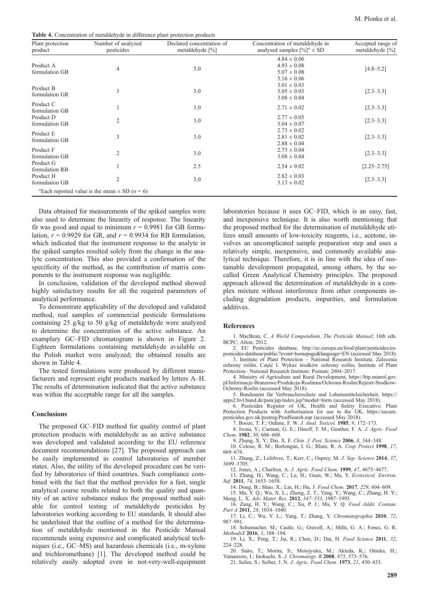Table 4. Concentration of metaldehyde in difference plant protection products

| Plant protection<br>product | Number of analyzed<br>pesticides                                      | Declared concentration of<br>metaldehyde $[\%]$ | Concentration of metaldehyde in<br>analysed samples $[\%]$ <sup>a</sup> ± SD | Accepted range of<br>metaldehyde $[\%]$ |
|-----------------------------|-----------------------------------------------------------------------|-------------------------------------------------|------------------------------------------------------------------------------|-----------------------------------------|
| Product A<br>formulation GB | 4                                                                     | 5.0                                             | $4.84 \pm 0.06$<br>$4.93 \pm 0.08$<br>$5.07 \pm 0.08$<br>$5.16 \pm 0.06$     | $[4.8 - 5.2]$                           |
| Product B<br>formulation GR | 3                                                                     | 3.0                                             | $3.01 \pm 0.03$<br>$3.05 \pm 0.03$<br>$3.08 \pm 0.04$                        | $[2.3 - 3.3]$                           |
| Product C<br>formulation GB |                                                                       | 3.0                                             | $2.71 \pm 0.02$                                                              | $[2.3 - 3.3]$                           |
| Product D<br>formulation GB | $\overline{2}$                                                        | 3.0                                             | $2.77 \pm 0.05$<br>$3.04 \pm 0.07$                                           | $[2.3 - 3.3]$                           |
| Product E<br>formulation GB | 3                                                                     | 3.0                                             | $2.73 \pm 0.02$<br>$2.81 \pm 0.02$<br>$2.88 \pm 0.04$                        | $[2.3 - 3.3]$                           |
| Product F<br>formulation GB | $\overline{2}$                                                        | 3.0                                             | $2.73 \pm 0.04$<br>$3.08 \pm 0.04$                                           | $[2.3 - 3.3]$                           |
| Product G<br>formulation RB |                                                                       | 2.5                                             | $2.54 \pm 0.02$                                                              | $[2.25 - 2.75]$                         |
| Product H<br>formulation GB | $\mathfrak{2}$                                                        | 3.0                                             | $2.82 \pm 0.03$<br>$3.13 \pm 0.02$                                           | $[2.3 - 3.3]$                           |
|                             | <sup>"</sup> Each reported value is the mean $\pm$ SD ( <i>n</i> = 6) |                                                 |                                                                              |                                         |

Data obtained for measurements of the spiked samples were also used to determine the linearity of response. The linearity fit was good and equal to minimum  $r = 0.9981$  for GB formulation,  $r = 0.9929$  for GR, and  $r = 0.9934$  for RB formulation, which indicated that the instrument response to the analyte in the spiked samples resulted solely from the change in the analyte concentration. This also provided a confirmation of the specificity of the method, as the contribution of matrix components to the instrument response was negligible.

In conclusion, validation of the developed method showed highly satisfactory results for all the required parameters of analytical performance.

To demonstrate applicability of the developed and validated method, real samples of commercial pesticide formulations containing 25 g/kg to 50 g/kg of metaldehyde were analyzed to determine the concentration of the active substance. An examplary GC–FID chromatogram is shown in Figure 2. Eighteen formulations containing metaldehyde available on the Polish market were analyzed; the obtained results are shown in Table 4.

The tested formulations were produced by different manufacturers and represent eight products marked by letters A–H. The results of determination indicated that the active substance was within the acceptable range for all the samples.

#### **Conclusions**

The proposed GC–FID method for quality control of plant protection products with metaldehyde as an active substance was developed and validated according to the EU reference document recommendations [27]. The proposed approach can be easily implemented in control laboratories of member states. Also, the utility of the developed procedure can be verified by laboratories of third countries. Such compliance combined with the fact that the method provides for a fast, single analytical course results related to both the quality and quantity of an active substance makes the proposed method suitable for control testing of metaldehyde pesticides by laboratories working according to EU standards. It should also be underlined that the outline of a method for the determination of metaldehyde mentioned in the Pesticide Manual recommends using expensive and complicated analytical techniques (i.e., GC–MS) and hazardous chemicals (i.e., m-xylene and trichloromethane) [1]. The developed method could be relatively easily adopted even in not-very-well-equipment

laboratories because it uses GC–FID, which is an easy, fast, and inexpensive technique. It is also worth mentioning that the proposed method for the determination of metaldehyde utilizes small amounts of low-toxicity reagents, i.e., acetone, involves an uncomplicated sample preparation step and uses a relatively simple, inexpensive, and commonly available analytical technique. Therefore, it is in line with the idea of sustainable development propagated, among others, by the socalled Green Analytical Chemistry principles. The proposed approach allowed the determination of metaldehyde in a complex mixture without interference from other components including degradation products, impurities, and formulation additives.

#### References

1. MacBean, C. A World Compendium, The Pesticide Manual; 16th edn. BCPC: Alton; 2012.

2. EU Pesticides database, http://ec.europa.eu/food/plant/pesticides/eupesticides-database/public/?event=homepage&language=EN (accessed May 2018). 3. Institute of Plant Protection – National Research Institute, Zalecenia

ochrony roślin. Część I. Wykaz środków ochrony roślin; Institute of Plant Protection– National Research Institute: Poznań; 2004–2017.

4. Ministry of Agriculture and Rural Development, https://bip.minrol.gov. pl/Informacje-Branzowe/Produkcja-Roslinna/Ochrona-Roslin/Rejestr-Srodkow-Ochrony-Roslin (accessed May 2018).

5. Bundesamt für Verbraucherschutz und Lebensmittelsicherheit, https:// apps2.bvl.bund.de/psm/jsp/index.jsp?modul=form (accessed May 2018). 6. Pesticides Register of UK, Health and Safety Executive. Plant

Protection Products with Authorisation for use in the UK, https://secure. pesticides.gov.uk/pestreg/ProdSearch.asp (accessed May 2018).

7. Booze, T. F.; Oehme, F. W. J. Anal. Toxicol. 1985, 9, 172–173.

8. Iwata, Y.; Carman, G. E.; Dinoff, T. M.; Gunther, F. A. J. Agric. Food Chem. 1982, 30, 606–608.

9. Zhang, X. Y.; Dai, X. F. Chin. J. Pest. Science 2006, 8, 344–348.

10. Coloso, R. M.; Borlongan, I. G.; Blum, R. A. Crop Protect 1998, 17, 669–674.

11. Zhang, Z.; Lefebvre, T.; Kerr, C.; Osprey, M. J. Sep. Science 2014, 37, 3699–3705. 12. Jones, A.; Charlton, A. J. Agric. Food Chem. 1999, 47, 4675–4677.

13. Zhang, H.; Wang, C.; Lu, H.; Guan, W.; Ma, Y. Ecotoxicol. Environ. Saf. 2011, 74, 1653–1658.

14. Dong, B.; Shao, X.; Lin, H.; Hu, J. Food Chem. 2017, 229, 604–609.

15. Ma, Y. Q.; Wu, X. L.; Zheng, Z. T.; Yang, Y.; Wang, C.; Zhang, H. Y.; Meng, L. X. Adv. Mater. Res. 2012, 347–353, 1987–1993.

16. Zang, H. Y.; Wang, C.; Xu, P. J.; Ma, Y. Q. Food Addit. Contam. Part A 2011, 28, 1034-1040.

17. Li, C.; Wu, Y. L.; Yang, T.; Zhang, Y. Chromatographia 2010, 72, 987–991.

18. Schumacher, M.; Castle, G.; Gravell, A.; Mills, G. A.; Fones, G. R. MethodsX 2016, 3, 188–194.

19. Li, X.; Peng, T.; Jia, R.; Chen, D.; Dai, H. Food Science 2011, 32, 224–228.

20. Saito, T.; Morita, S.; Motojyuku, M.; Akieda, K.; Otsuka, H.; Yamamoto, I.; Inokuchi, S. J. Chromatogr. B 2008, 875, 573-576. 21. Selim, S.; Seiber, J. N. J. Agric. Food Chem. 1973, 21, 430–433.